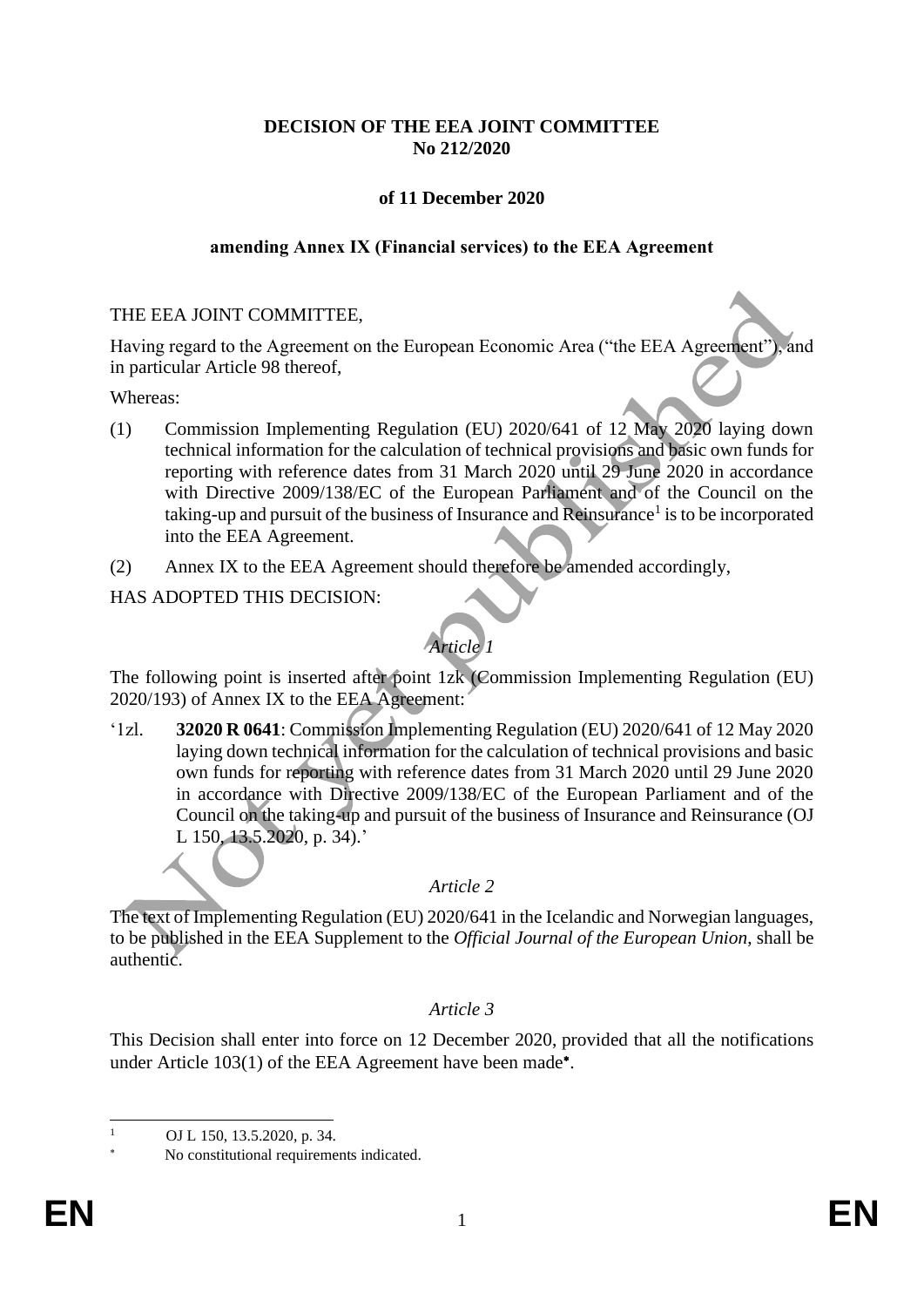## **DECISION OF THE EEA JOINT COMMITTEE No 212/2020**

# **of 11 December 2020**

### **amending Annex IX (Financial services) to the EEA Agreement**

### THE EEA JOINT COMMITTEE,

Having regard to the Agreement on the European Economic Area ("the EEA Agreement"), and in particular Article 98 thereof,

#### Whereas:

- (1) Commission Implementing Regulation (EU) 2020/641 of 12 May 2020 laying down technical information for the calculation of technical provisions and basic own funds for reporting with reference dates from 31 March 2020 until 29 June 2020 in accordance with Directive 2009/138/EC of the European Parliament and of the Council on the taking-up and pursuit of the business of Insurance and Reinsurance<sup>1</sup> is to be incorporated into the EEA Agreement.
- (2) Annex IX to the EEA Agreement should therefore be amended accordingly,

### HAS ADOPTED THIS DECISION:

# *Article 1*

The following point is inserted after point 1zk (Commission Implementing Regulation (EU) 2020/193) of Annex IX to the EEA Agreement:

'1zl. **32020 R 0641**: Commission Implementing Regulation (EU) 2020/641 of 12 May 2020 laying down technical information for the calculation of technical provisions and basic own funds for reporting with reference dates from 31 March 2020 until 29 June 2020 in accordance with Directive 2009/138/EC of the European Parliament and of the Council on the taking-up and pursuit of the business of Insurance and Reinsurance (OJ L 150, 13.5.2020, p. 34).'

# *Article 2*

The text of Implementing Regulation (EU) 2020/641 in the Icelandic and Norwegian languages, to be published in the EEA Supplement to the *Official Journal of the European Union*, shall be authentic.

#### *Article 3*

This Decision shall enter into force on 12 December 2020, provided that all the notifications under Article 103(1) of the EEA Agreement have been made\*.

OJ L 150, 13.5.2020, p. 34.

No constitutional requirements indicated.